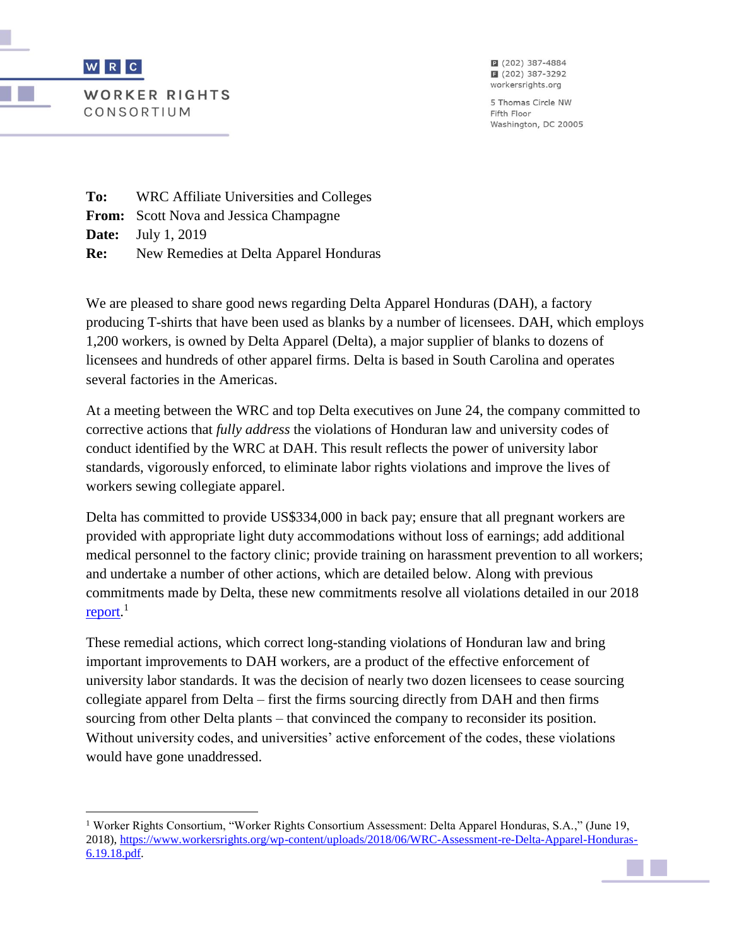

 $\overline{\phantom{a}}$ 

**WORKER RIGHTS** CONSORTIUM

2 (202) 387-4884 ■ (202) 387-3292 workersrights.org

5 Thomas Circle NW Fifth Floor Washington, DC 20005

**To:** WRC Affiliate Universities and Colleges **From:** Scott Nova and Jessica Champagne **Date:** July 1, 2019 **Re:** New Remedies at Delta Apparel Honduras

We are pleased to share good news regarding Delta Apparel Honduras (DAH), a factory producing T-shirts that have been used as blanks by a number of licensees. DAH, which employs 1,200 workers, is owned by Delta Apparel (Delta), a major supplier of blanks to dozens of licensees and hundreds of other apparel firms. Delta is based in South Carolina and operates several factories in the Americas.

At a meeting between the WRC and top Delta executives on June 24, the company committed to corrective actions that *fully address* the violations of Honduran law and university codes of conduct identified by the WRC at DAH. This result reflects the power of university labor standards, vigorously enforced, to eliminate labor rights violations and improve the lives of workers sewing collegiate apparel.

Delta has committed to provide US\$334,000 in back pay; ensure that all pregnant workers are provided with appropriate light duty accommodations without loss of earnings; add additional medical personnel to the factory clinic; provide training on harassment prevention to all workers; and undertake a number of other actions, which are detailed below. Along with previous commitments made by Delta, these new commitments resolve all violations detailed in our 2018 [report.](https://www.workersrights.org/wp-content/uploads/2018/06/WRC-Assessment-re-Delta-Apparel-Honduras-6.19.18.pdf)<sup>1</sup>

These remedial actions, which correct long-standing violations of Honduran law and bring important improvements to DAH workers, are a product of the effective enforcement of university labor standards. It was the decision of nearly two dozen licensees to cease sourcing collegiate apparel from Delta – first the firms sourcing directly from DAH and then firms sourcing from other Delta plants – that convinced the company to reconsider its position. Without university codes, and universities' active enforcement of the codes, these violations would have gone unaddressed.

<sup>1</sup> Worker Rights Consortium, "Worker Rights Consortium Assessment: Delta Apparel Honduras, S.A.," (June 19, 2018), [https://www.workersrights.org/wp-content/uploads/2018/06/WRC-Assessment-re-Delta-Apparel-Honduras-](https://www.workersrights.org/wp-content/uploads/2018/06/WRC-Assessment-re-Delta-Apparel-Honduras-6.19.18.pdf)[6.19.18.pdf.](https://www.workersrights.org/wp-content/uploads/2018/06/WRC-Assessment-re-Delta-Apparel-Honduras-6.19.18.pdf)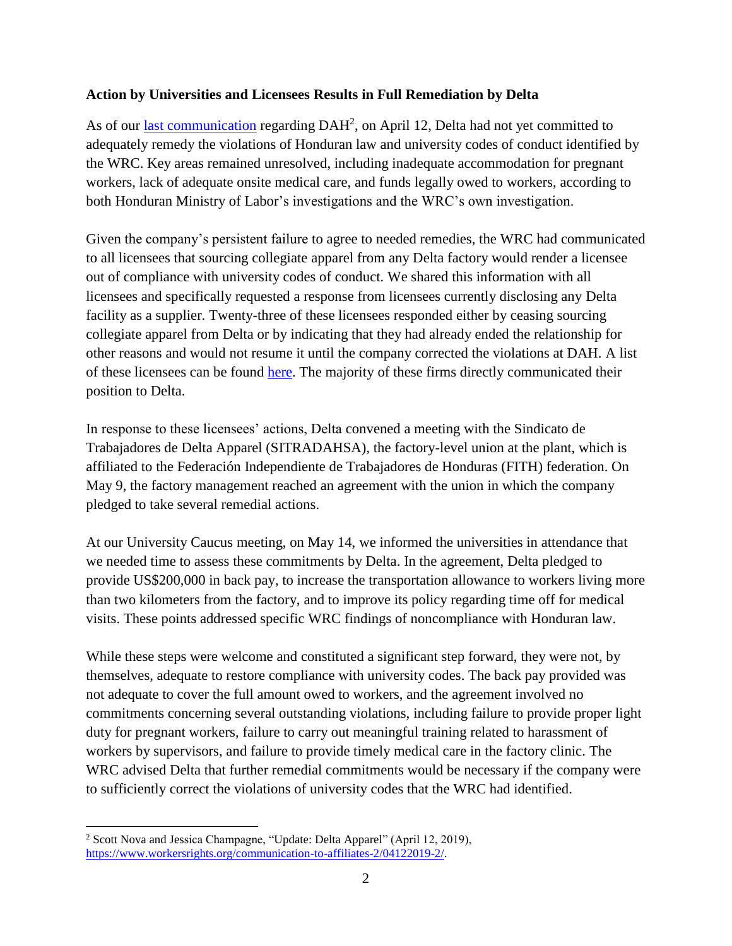## **Action by Universities and Licensees Results in Full Remediation by Delta**

As of our [last communication](https://www.workersrights.org/communication-to-affiliates-2/04122019-2/) regarding DAH<sup>2</sup>, on April 12, Delta had not yet committed to adequately remedy the violations of Honduran law and university codes of conduct identified by the WRC. Key areas remained unresolved, including inadequate accommodation for pregnant workers, lack of adequate onsite medical care, and funds legally owed to workers, according to both Honduran Ministry of Labor's investigations and the WRC's own investigation.

Given the company's persistent failure to agree to needed remedies, the WRC had communicated to all licensees that sourcing collegiate apparel from any Delta factory would render a licensee out of compliance with university codes of conduct. We shared this information with all licensees and specifically requested a response from licensees currently disclosing any Delta facility as a supplier. Twenty-three of these licensees responded either by ceasing sourcing collegiate apparel from Delta or by indicating that they had already ended the relationship for other reasons and would not resume it until the company corrected the violations at DAH. A list of these licensees can be found [here.](https://www.workersrights.org/wp-content/uploads/2019/07/Licensees-No-Longer-Sourcing-from-Delta.pdf) The majority of these firms directly communicated their position to Delta.

In response to these licensees' actions, Delta convened a meeting with the Sindicato de Trabajadores de Delta Apparel (SITRADAHSA), the factory-level union at the plant, which is affiliated to the Federación Independiente de Trabajadores de Honduras (FITH) federation. On May 9, the factory management reached an agreement with the union in which the company pledged to take several remedial actions.

At our University Caucus meeting, on May 14, we informed the universities in attendance that we needed time to assess these commitments by Delta. In the agreement, Delta pledged to provide US\$200,000 in back pay, to increase the transportation allowance to workers living more than two kilometers from the factory, and to improve its policy regarding time off for medical visits. These points addressed specific WRC findings of noncompliance with Honduran law.

While these steps were welcome and constituted a significant step forward, they were not, by themselves, adequate to restore compliance with university codes. The back pay provided was not adequate to cover the full amount owed to workers, and the agreement involved no commitments concerning several outstanding violations, including failure to provide proper light duty for pregnant workers, failure to carry out meaningful training related to harassment of workers by supervisors, and failure to provide timely medical care in the factory clinic. The WRC advised Delta that further remedial commitments would be necessary if the company were to sufficiently correct the violations of university codes that the WRC had identified.

l

<sup>&</sup>lt;sup>2</sup> Scott Nova and Jessica Champagne, "Update: Delta Apparel" (April 12, 2019), [https://www.workersrights.org/communication-to-affiliates-2/04122019-2/.](https://www.workersrights.org/communication-to-affiliates-2/04122019-2/)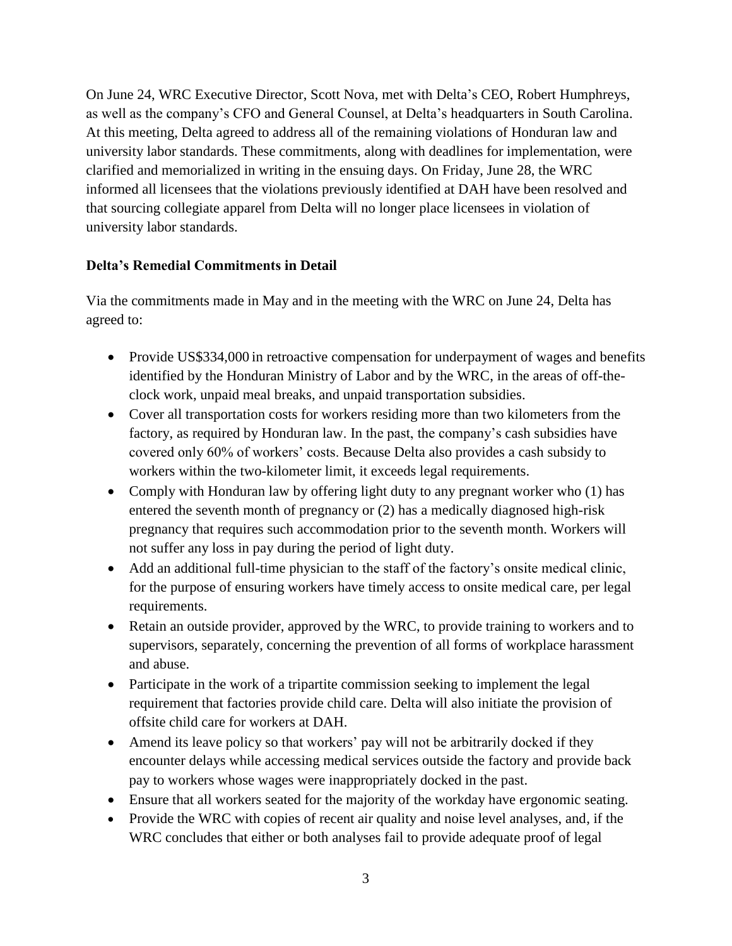On June 24, WRC Executive Director, Scott Nova, met with Delta's CEO, Robert Humphreys, as well as the company's CFO and General Counsel, at Delta's headquarters in South Carolina. At this meeting, Delta agreed to address all of the remaining violations of Honduran law and university labor standards. These commitments, along with deadlines for implementation, were clarified and memorialized in writing in the ensuing days. On Friday, June 28, the WRC informed all licensees that the violations previously identified at DAH have been resolved and that sourcing collegiate apparel from Delta will no longer place licensees in violation of university labor standards.

## **Delta's Remedial Commitments in Detail**

Via the commitments made in May and in the meeting with the WRC on June 24, Delta has agreed to:

- Provide US\$334,000 in retroactive compensation for underpayment of wages and benefits identified by the Honduran Ministry of Labor and by the WRC, in the areas of off-theclock work, unpaid meal breaks, and unpaid transportation subsidies.
- Cover all transportation costs for workers residing more than two kilometers from the factory, as required by Honduran law. In the past, the company's cash subsidies have covered only 60% of workers' costs. Because Delta also provides a cash subsidy to workers within the two-kilometer limit, it exceeds legal requirements.
- Comply with Honduran law by offering light duty to any pregnant worker who (1) has entered the seventh month of pregnancy or (2) has a medically diagnosed high-risk pregnancy that requires such accommodation prior to the seventh month. Workers will not suffer any loss in pay during the period of light duty.
- Add an additional full-time physician to the staff of the factory's onsite medical clinic, for the purpose of ensuring workers have timely access to onsite medical care, per legal requirements.
- Retain an outside provider, approved by the WRC, to provide training to workers and to supervisors, separately, concerning the prevention of all forms of workplace harassment and abuse.
- Participate in the work of a tripartite commission seeking to implement the legal requirement that factories provide child care. Delta will also initiate the provision of offsite child care for workers at DAH.
- Amend its leave policy so that workers' pay will not be arbitrarily docked if they encounter delays while accessing medical services outside the factory and provide back pay to workers whose wages were inappropriately docked in the past.
- Ensure that all workers seated for the majority of the workday have ergonomic seating.
- Provide the WRC with copies of recent air quality and noise level analyses, and, if the WRC concludes that either or both analyses fail to provide adequate proof of legal